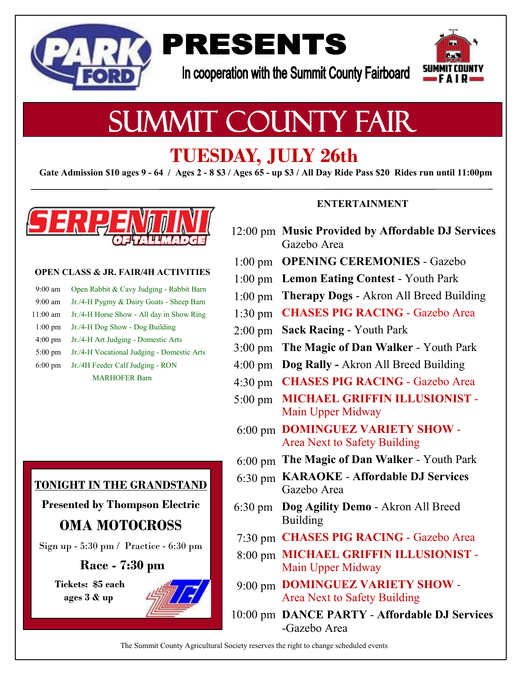

In cooperation with the Summit County Fairboard



## SUMMIT COUNTY FAIR

### **TUESDAY, JULY 26th**

**Gate Admission \$10 ages 9 - 64 / Ages 2 - 8 \$3 / Ages 65 - up \$3 / All Day Ride Pass \$20 Rides run until 11:00pm**



#### **OPEN CLASS & JR. FAIR/4H ACTIVITIES**

| $9:00 \text{ am}$  | Open Rabbit & Cavy Judging - Rabbit Barn   |  |
|--------------------|--------------------------------------------|--|
| $9:00 \text{ am}$  | Jr./4-H Pygmy & Dairy Goats - Sheep Barn   |  |
| $11:00 \text{ am}$ | Jr./4-H Horse Show - All day in Show Ring  |  |
| $1:00 \text{ pm}$  | Jr./4-H Dog Show - Dog Building            |  |
| $4:00 \text{ pm}$  | Jr./4-H Art Judging - Domestic Arts        |  |
| $5:00 \text{ pm}$  | Jr./4-H Vocational Judging - Domestic Arts |  |
| $6:00 \text{ pm}$  | Jr./4H Feeder Calf Judging - RON           |  |
|                    | <b>MARHOFER Barn</b>                       |  |
|                    |                                            |  |

## **TONIGHT IN THE GRANDSTAND**

**Presented by Thompson Electric**

### **OMA MOTOCROSS**

Sign up - 5:30 pm / Practice - 6:30 pm

### **Race - 7:30 pm**

**Tickets: \$5 each ages 3 & up**



### **ENTERTAINMENT**

- **Music Provided by Affordable DJ Services**  12:00 pm Gazebo Area
- **OPENING CEREMONIES**  Gazebo 1:00 pm
- 1:00 pm Lemon Eating Contest Youth Park
- **Therapy Dogs**  Akron All Breed Building 1:00 pm
- 1:30 pm **CHASES PIG RACING** Gazebo Area
- **Sack Racing**  Youth Park 2:00 pm
- **The Magic of Dan Walker**  Youth Park 3:00 pm
- **Dog Rally -** Akron All Breed Building 4:00 pm
- 4:30 pm **CHASES PIG RACING** Gazebo Area
- **MICHAEL GRIFFIN ILLUSIONIST** 5:00 pm Main Upper Midway
- **DOMINGUEZ VARIETY SHOW** - 6:00 pm Area Next to Safety Building
- **The Magic of Dan Walker**  Youth Park 6:00 pm
- **KARAOKE Affordable DJ Services**  6:30 pm Gazebo Area
- **Dog Agility Demo**  Akron All Breed 6:30 pm Building
- 7:30 pm **CHASES PIG RACING** Gazebo Area
- **MICHAEL GRIFFIN ILLUSIONIST** - 8:00 pm Main Upper Midway
- 9:00 pm DOMINGUEZ VARIETY SHOW -Area Next to Safety Building
- **DANCE PARTY Affordable DJ Services**  10:00 pm -Gazebo Area

The Summit County Agricultural Society reserves the right to change scheduled events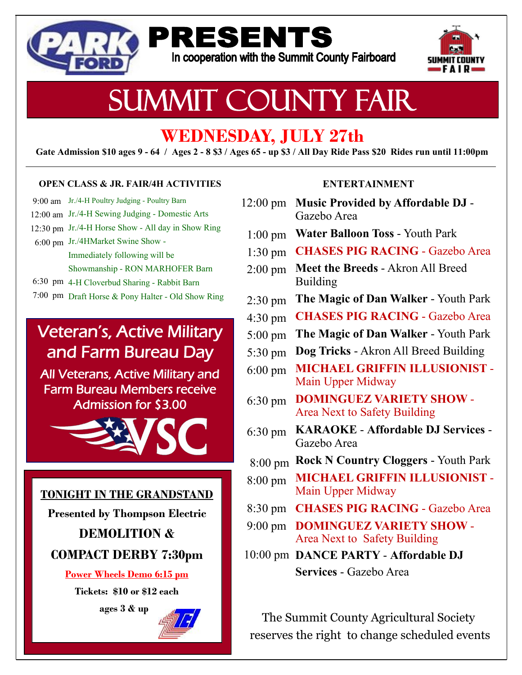

# SUMMIT COUNTY FAIR

In cooperation with the Summit County Fairboard

### **WEDNESDAY, JULY 27th**

**Gate Admission \$10 ages 9 - 64 / Ages 2 - 8 \$3 / Ages 65 - up \$3 / All Day Ride Pass \$20 Rides run until 11:00pm**

### **OPEN CLASS & JR. FAIR/4H ACTIVITIES ENTERTAINMENT**

- Jr./4-H Poultry Judging Poultry Barn 9:00 am
- 12:00 am Jr./4-H Sewing Judging Domestic Arts
- 12:30 pm Jr./4-H Horse Show All day in Show Ring
- 6:00 pm Jr./4HMarket Swine Show -Immediately following will be Showmanship - RON MARHOFER Barn
- 4-H Cloverbud Sharing Rabbit Barn 6:30 pm
- 7:00 pm Draft Horse & Pony Halter Old Show Ring

### Veteran's, Active Military and Farm Bureau Day

All Veterans, Active Military and Farm Bureau Members receive Admission for \$3.00



#### **TONIGHT IN THE GRANDSTAND**

**Presented by Thompson Electric DEMOLITION &** 

### **COMPACT DERBY 7:30pm**

### **Power Wheels Demo 6:15 pm**

**Tickets: \$10 or \$12 each** 

 **ages 3 & up**



- 12:00 pm Music Provided by Affordable DJ -Gazebo Area
- **Water Balloon Toss**  Youth Park 1:00 pm
- 1:30 pm **CHASES PIG RACING** Gazebo Area
- **Meet the Breeds**  Akron All Breed 2:00 pm Building
- **The Magic of Dan Walker**  Youth Park 2:30 pm
- **CHASES PIG RACING**  Gazebo Area 4:30 pm
- **The Magic of Dan Walker**  Youth Park 5:00 pm
- **Dog Tricks**  Akron All Breed Building 5:30 pm
- **MICHAEL GRIFFIN ILLUSIONIST**  Main Upper Midway 6:00 pm
- **DOMINGUEZ VARIETY SHOW**  Area Next to Safety Building 6:30 pm
- **KARAOKE Affordable DJ Services** Gazebo Area 6:30 pm
- 8:00 pm Rock N Country Cloggers Youth Park
- 8:00 pm MICHAEL GRIFFIN ILLUSIONIST -Main Upper Midway
- 8:30 pm **CHASES PIG RACING** Gazebo Area
- 9:00 pm **DOMINGUEZ VARIETY SHOW -**Area Next to Safety Building
- **DANCE PARTY Affordable DJ** 10:00 pm **Services** - Gazebo Area

The Summit County Agricultural Society reserves the right to change scheduled events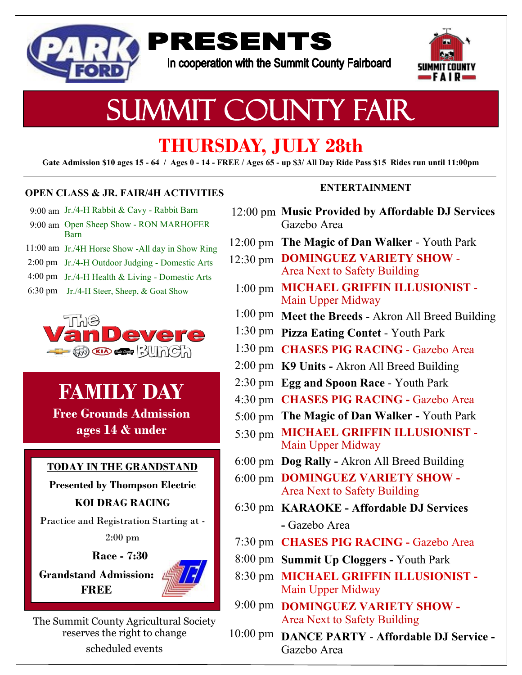

In cooperation with the Summit County Fairboard



## SUMMIT COUNTY FAIR

### **THURSDAY, JULY 28th**

**Gate Admission \$10 ages 15 - 64 / Ages 0 - 14 - FREE / Ages 65 - up \$3/ All Day Ride Pass \$15 Rides run until 11:00pm**

### **OPEN CLASS & JR. FAIR/4H ACTIVITIES**

- Jr./4-H Rabbit & Cavy Rabbit Barn 9:00 am
- 9:00 am Open Sheep Show RON MARHOFER Barn
- 11:00 am Jr./4H Horse Show -All day in Show Ring
- 2:00 pm Jr./4-H Outdoor Judging Domestic Arts
- 4:00 pm Jr./4-H Health & Living Domestic Arts
- 6:30 pm Jr./4-H Steer, Sheep, & Goat Show



**FAMILY DAY Free Grounds Admission** 

**ages 14 & under**

### **TODAY IN THE GRANDSTAND**

**Presented by Thompson Electric**

### **KOI DRAG RACING**

Practice and Registration Starting at -

2:00 pm

 **Race - 7:30**

**Grandstand Admission: FREE**



The Summit County Agricultural Society reserves the right to change scheduled events

### **ENTERTAINMENT**

|                    | 12:00 pm Music Provided by Affordable DJ Services                      |  |  |
|--------------------|------------------------------------------------------------------------|--|--|
|                    | Gazebo Area                                                            |  |  |
| $12:00 \text{ pm}$ | The Magic of Dan Walker - Youth Park                                   |  |  |
| $12:30 \text{ pm}$ | <b>DOMINGUEZ VARIETY SHOW -</b><br><b>Area Next to Safety Building</b> |  |  |
| $1:00 \text{ pm}$  | <b>MICHAEL GRIFFIN ILLUSIONIST -</b><br>Main Upper Midway              |  |  |
| $1:00$ pm          | Meet the Breeds - Akron All Breed Building                             |  |  |
| $1:30 \text{ pm}$  | <b>Pizza Eating Contet - Youth Park</b>                                |  |  |
| $1:30 \text{ pm}$  | <b>CHASES PIG RACING - Gazebo Area</b>                                 |  |  |
| $2:00 \text{ pm}$  | K9 Units - Akron All Breed Building                                    |  |  |
| $2:30 \text{ pm}$  | <b>Egg and Spoon Race - Youth Park</b>                                 |  |  |
| $4:30 \text{ pm}$  | <b>CHASES PIG RACING - Gazebo Area</b>                                 |  |  |
| $5:00 \text{ pm}$  | The Magic of Dan Walker - Youth Park                                   |  |  |
| $5:30 \text{ pm}$  | <b>MICHAEL GRIFFIN ILLUSIONIST -</b><br>Main Upper Midway              |  |  |
| $6:00 \text{ pm}$  | Dog Rally - Akron All Breed Building                                   |  |  |
| $6:00 \text{ pm}$  | <b>DOMINGUEZ VARIETY SHOW -</b><br><b>Area Next to Safety Building</b> |  |  |
| $6:30 \text{ pm}$  | <b>KARAOKE - Affordable DJ Services</b>                                |  |  |
|                    | - Gazebo Area                                                          |  |  |
| $7:30 \text{ pm}$  | <b>CHASES PIG RACING - Gazebo Area</b>                                 |  |  |
| $8:00 \text{ pm}$  | <b>Summit Up Cloggers - Youth Park</b>                                 |  |  |
| $8:30 \text{ pm}$  | <b>MICHAEL GRIFFIN ILLUSIONIST -</b><br>Main Upper Midway              |  |  |
| $9:00 \text{ pm}$  | <b>DOMINGUEZ VARIETY SHOW -</b><br><b>Area Next to Safety Building</b> |  |  |
| $10:00 \text{ pm}$ | <b>DANCE PARTY - Affordable DJ Service -</b>                           |  |  |

Gazebo Area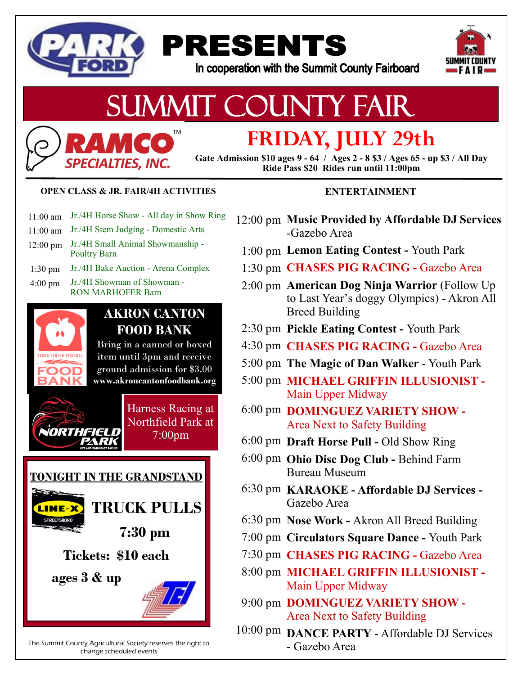

In cooperation with the Summit County Fairboard



# SUMMIT COUNTY FAIR

## **FRIDAY, JULY 29th**

**Gate Admission \$10 ages 9 - 64 / Ages 2 - 8 \$3 / Ages 65 - up \$3 / All Day Ride Pass \$20 Rides run until 11:00pm**

#### **OPEN CLASS & JR. FAIR/4H ACTIVITIES ENTERTAINMENT**

**AMCO** 

- Jr./4H Horse Show All day in Show Ring 11:00 am
- Jr./4H Stem Judging Domestic Arts 11:00 am

**SPECIALTIES, INC.** 

- 12:00 pm Jr./4H Small Animal Showmanship -Poultry Barn
- Jr./4H Bake Auction Arena Complex 1:30 pm
- Jr./4H Showman of Showman RON MARHOFER Barn 4:00 pm



### **AKRON CANTON FOOD BANK**

Bring in a canned or boxed item until 3pm and receive ground admission for \$3.00 **www.akroncantonfoodbank.org**



Harness Racing at Northfield Park at 7:00pm



The Summit County Agricultural Society reserves the right to change scheduled events

- **Music Provided by Affordable DJ Services**  12:00 pm -Gazebo Area
- 1:00 pm Lemon Eating Contest Youth Park
- **CHASES PIG RACING -** Gazebo Area 1:30 pm
- **American Dog Ninja Warrior** (Follow Up 2:00 pm to Last Year's doggy Olympics) - Akron All Breed Building
- 2:30 pm Pickle Eating Contest Youth Park
- **CHASES PIG RACING -** Gazebo Area 4:30 pm
- 5:00 pm The Magic of Dan Walker Youth Park
- **MICHAEL GRIFFIN ILLUSIONIST -**  5:00 pm Main Upper Midway
- **DOMINGUEZ VARIETY SHOW -**  6:00 pm Area Next to Safety Building
- **Draft Horse Pull -** Old Show Ring 6:00 pm
- **Ohio Disc Dog Club -** Behind Farm 6:00 pm Bureau Museum
- **KARAOKE - Affordable DJ Services -**  6:30 pm Gazebo Area
- **Nose Work -** Akron All Breed Building 6:30 pm
- **Circulators Square Dance -** Youth Park 7:00 pm
- 7:30 pm **CHASES PIG RACING Gazebo Area**
- **MICHAEL GRIFFIN ILLUSIONIST -**  8:00 pm Main Upper Midway
- 9:00 pm **DOMINGUEZ VARIETY SHOW -**Area Next to Safety Building
- 10:00 pm **DANCE PARTY** Affordable DJ Services - Gazebo Area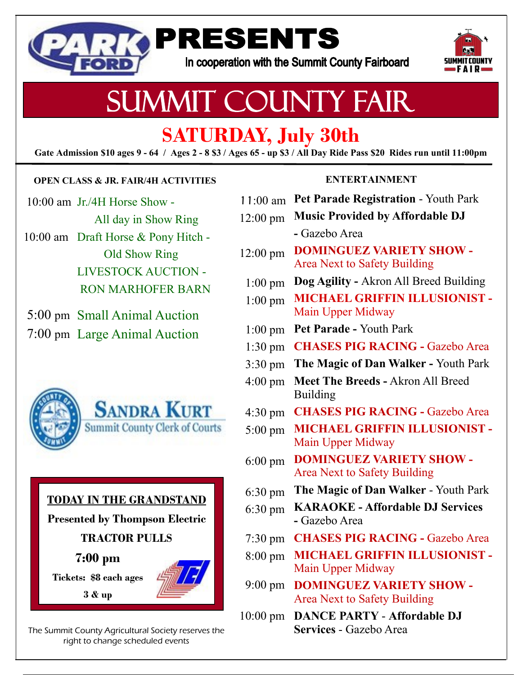

In cooperation with the Summit County Fairboard



# SUMMIT COUNTY FAIR

## **SATURDAY, July 30th**

**Gate Admission \$10 ages 9 - 64 / Ages 2 - 8 \$3 / Ages 65 - up \$3 / All Day Ride Pass \$20 Rides run until 11:00pm**

### **OPEN CLASS & JR. FAIR/4H ACTIVITIES**

- 10:00 am Jr./4H Horse Show - All day in Show Ring 10:00 am Draft Horse & Pony Hitch -
	- Old Show Ring LIVESTOCK AUCTION - RON MARHOFER BARN
- 5:00 pm Small Animal Auction
- 7:00 pm Large Animal Auction





The Summit County Agricultural Society reserves the right to change scheduled events

### **ENTERTAINMENT**

- 11:00 am Pet Parade Registration Youth Park
- **Music Provided by Affordable DJ -** Gazebo Area 12:00 pm
- **DOMINGUEZ VARIETY SHOW -**  Area Next to Safety Building 12:00 pm
- **Dog Agility -** Akron All Breed Building 1:00 pm
- **MICHAEL GRIFFIN ILLUSIONIST -** 1:00 pm Main Upper Midway
- 1:00 pm Pet Parade Youth Park
- 1:30 pm **CHASES PIG RACING Gazebo Area**
- **The Magic of Dan Walker -** Youth Park 3:30 pm
- **Meet The Breeds -** Akron All Breed 4:00 pm Building
- 4:30 pm **CHASES PIG RACING -** Gazebo Area
- **MICHAEL GRIFFIN ILLUSIONIST -**  5:00 pm Main Upper Midway
- **DOMINGUEZ VARIETY SHOW -**  6:00 pm Area Next to Safety Building
- **The Magic of Dan Walker**  Youth Park 6:30 pm
- **KARAOKE - Affordable DJ Services**  6:30 pm **-** Gazebo Area
- 7:30 pm **CHASES PIG RACING -** Gazebo Area
- **MICHAEL GRIFFIN ILLUSIONIST -**  8:00 pm Main Upper Midway
- **DOMINGUEZ VARIETY SHOW -**  9:00 pm Area Next to Safety Building
- **DANCE PARTY Affordable DJ**  10:00 pm **Services** - Gazebo Area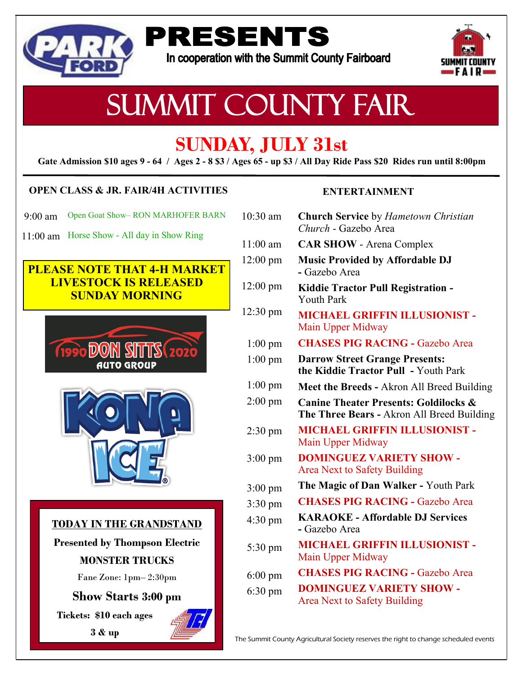

In cooperation with the Summit County Fairboard



# SUMMIT COUNTY FAIR

## **SUNDAY, JULY 31st**

**Gate Admission \$10 ages 9 - 64 / Ages 2 - 8 \$3 / Ages 65 - up \$3 / All Day Ride Pass \$20 Rides run until 8:00pm**

### **OPEN CLASS & JR. FAIR/4H ACTIVITIES ENTERTAINMENT**

- 9:00 am Open Goat Show– RON MARHOFER BARN
- 11:00 am Horse Show All day in Show Ring

### **PLEASE NOTE THAT 4-H MARKET LIVESTOCK IS RELEASED SUNDAY MORNING**







**Tickets: \$10 each ages 3 & up**



| 10:30 am           | <b>Church Service</b> by Hametown Christian<br>Church - Gazebo Area                            |  |  |
|--------------------|------------------------------------------------------------------------------------------------|--|--|
| $11:00$ am         | <b>CAR SHOW - Arena Complex</b>                                                                |  |  |
| $12:00 \text{ pm}$ | <b>Music Provided by Affordable DJ</b><br>- Gazebo Area                                        |  |  |
| $12:00 \text{ pm}$ | <b>Kiddie Tractor Pull Registration -</b><br><b>Youth Park</b>                                 |  |  |
| $12:30 \text{ pm}$ | <b>MICHAEL GRIFFIN ILLUSIONIST -</b><br>Main Upper Midway                                      |  |  |
| $1:00 \text{ pm}$  | <b>CHASES PIG RACING - Gazebo Area</b>                                                         |  |  |
| $1:00$ pm          | <b>Darrow Street Grange Presents:</b><br>the Kiddie Tractor Pull - Youth Park                  |  |  |
| $1:00 \text{ pm}$  | Meet the Breeds - Akron All Breed Building                                                     |  |  |
| $2:00$ pm          | <b>Canine Theater Presents: Goldilocks &amp;</b><br>The Three Bears - Akron All Breed Building |  |  |
| $2:30 \text{ pm}$  | <b>MICHAEL GRIFFIN ILLUSIONIST -</b><br>Main Upper Midway                                      |  |  |
| $3:00 \text{ pm}$  | <b>DOMINGUEZ VARIETY SHOW -</b><br><b>Area Next to Safety Building</b>                         |  |  |
| $3:00 \text{ pm}$  | The Magic of Dan Walker - Youth Park                                                           |  |  |
| $3:30 \text{ pm}$  | <b>CHASES PIG RACING - Gazebo Area</b>                                                         |  |  |
| $4:30 \text{ pm}$  | <b>KARAOKE - Affordable DJ Services</b><br>- Gazebo Area                                       |  |  |
| $5:30 \text{ pm}$  | <b>MICHAEL GRIFFIN ILLUSIONIST -</b><br>Main Upper Midway                                      |  |  |
| $6:00 \text{ pm}$  | <b>CHASES PIG RACING - Gazebo Area</b>                                                         |  |  |
| $6:30 \text{ pm}$  | <b>DOMINGUEZ VARIETY SHOW -</b><br><b>Area Next to Safety Building</b>                         |  |  |

The Summit County Agricultural Society reserves the right to change scheduled events